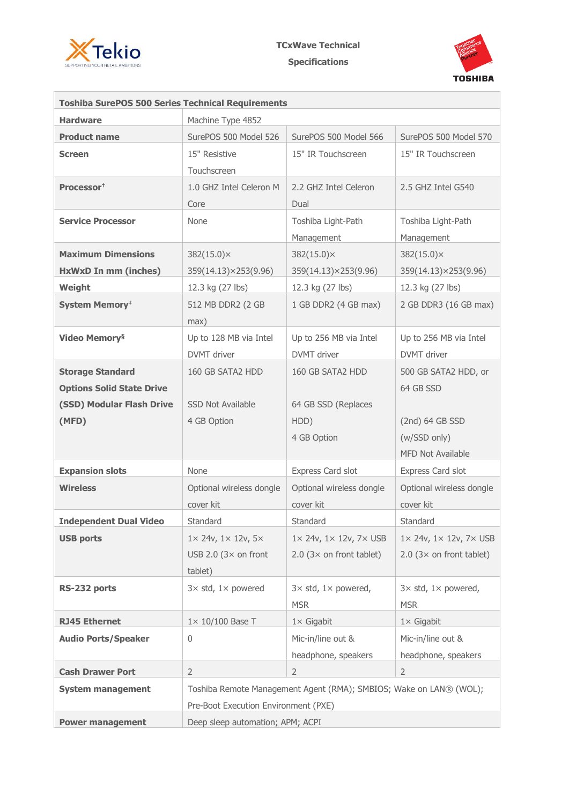



| <b>Toshiba SurePOS 500 Series Technical Requirements</b> |                                                                    |                                                  |                                                  |  |
|----------------------------------------------------------|--------------------------------------------------------------------|--------------------------------------------------|--------------------------------------------------|--|
| <b>Hardware</b>                                          | Machine Type 4852                                                  |                                                  |                                                  |  |
| <b>Product name</b>                                      | SurePOS 500 Model 526                                              | SurePOS 500 Model 566                            | SurePOS 500 Model 570                            |  |
| <b>Screen</b>                                            | 15" Resistive                                                      | 15" IR Touchscreen                               | 15" IR Touchscreen                               |  |
|                                                          | Touchscreen                                                        |                                                  |                                                  |  |
| Processor <sup>†</sup>                                   | 1.0 GHZ Intel Celeron M                                            | 2.2 GHZ Intel Celeron                            | 2.5 GHZ Intel G540                               |  |
|                                                          | Core                                                               | Dual                                             |                                                  |  |
| <b>Service Processor</b>                                 | None                                                               | Toshiba Light-Path                               | Toshiba Light-Path                               |  |
|                                                          |                                                                    | Management                                       | Management                                       |  |
| <b>Maximum Dimensions</b>                                | $382(15.0)\times$                                                  | $382(15.0)\times$                                | $382(15.0) \times$                               |  |
| <b>HxWxD In mm (inches)</b>                              | 359(14.13)×253(9.96)                                               | 359(14.13)×253(9.96)                             | 359(14.13)×253(9.96)                             |  |
| Weight                                                   | 12.3 kg (27 lbs)                                                   | 12.3 kg (27 lbs)                                 | 12.3 kg (27 lbs)                                 |  |
| <b>System Memory*</b>                                    | 512 MB DDR2 (2 GB                                                  | 1 GB DDR2 (4 GB max)                             | 2 GB DDR3 (16 GB max)                            |  |
|                                                          | max)                                                               |                                                  |                                                  |  |
| <b>Video Memory</b> <sup>§</sup>                         | Up to 128 MB via Intel                                             | Up to 256 MB via Intel                           | Up to 256 MB via Intel                           |  |
|                                                          | DVMT driver                                                        | DVMT driver                                      | DVMT driver                                      |  |
| <b>Storage Standard</b>                                  | 160 GB SATA2 HDD                                                   | 160 GB SATA2 HDD                                 | 500 GB SATA2 HDD, or                             |  |
| <b>Options Solid State Drive</b>                         |                                                                    |                                                  | 64 GB SSD                                        |  |
| (SSD) Modular Flash Drive                                | <b>SSD Not Available</b>                                           | 64 GB SSD (Replaces                              |                                                  |  |
| (MFD)                                                    | 4 GB Option                                                        | HDD)                                             | (2nd) 64 GB SSD                                  |  |
|                                                          |                                                                    | 4 GB Option                                      | (w/SSD only)                                     |  |
|                                                          |                                                                    |                                                  | <b>MFD Not Available</b>                         |  |
| <b>Expansion slots</b>                                   | None                                                               | Express Card slot                                | Express Card slot                                |  |
| <b>Wireless</b>                                          | Optional wireless dongle                                           | Optional wireless dongle                         | Optional wireless dongle                         |  |
|                                                          | cover kit                                                          | cover kit                                        | cover kit                                        |  |
| <b>Independent Dual Video</b>                            | Standard                                                           | Standard                                         | Standard                                         |  |
| <b>USB ports</b>                                         | $1 \times 24$ v, $1 \times 12$ v, $5 \times$                       | $1 \times 24$ v, $1 \times 12$ v, $7 \times$ USB | $1 \times 24$ v, $1 \times 12$ v, $7 \times$ USB |  |
|                                                          | USB 2.0 (3 $\times$ on front                                       | 2.0 $(3 \times$ on front tablet)                 | 2.0 $(3 \times$ on front tablet)                 |  |
|                                                          | tablet)                                                            |                                                  |                                                  |  |
| RS-232 ports                                             | $3 \times$ std, $1 \times$ powered                                 | $3 \times$ std, $1 \times$ powered,              | $3 \times$ std, $1 \times$ powered,              |  |
|                                                          |                                                                    | <b>MSR</b>                                       | <b>MSR</b>                                       |  |
| <b>RJ45 Ethernet</b>                                     | $1 \times 10/100$ Base T                                           | $1 \times$ Gigabit                               | $1 \times$ Gigabit                               |  |
| <b>Audio Ports/Speaker</b>                               | 0                                                                  | Mic-in/line out &                                | Mic-in/line out &                                |  |
|                                                          |                                                                    | headphone, speakers                              | headphone, speakers                              |  |
| <b>Cash Drawer Port</b>                                  | $\overline{2}$                                                     | $\overline{2}$                                   | $\overline{2}$                                   |  |
| <b>System management</b>                                 | Toshiba Remote Management Agent (RMA); SMBIOS; Wake on LAN® (WOL); |                                                  |                                                  |  |
|                                                          | Pre-Boot Execution Environment (PXE)                               |                                                  |                                                  |  |
| <b>Power management</b>                                  | Deep sleep automation; APM; ACPI                                   |                                                  |                                                  |  |